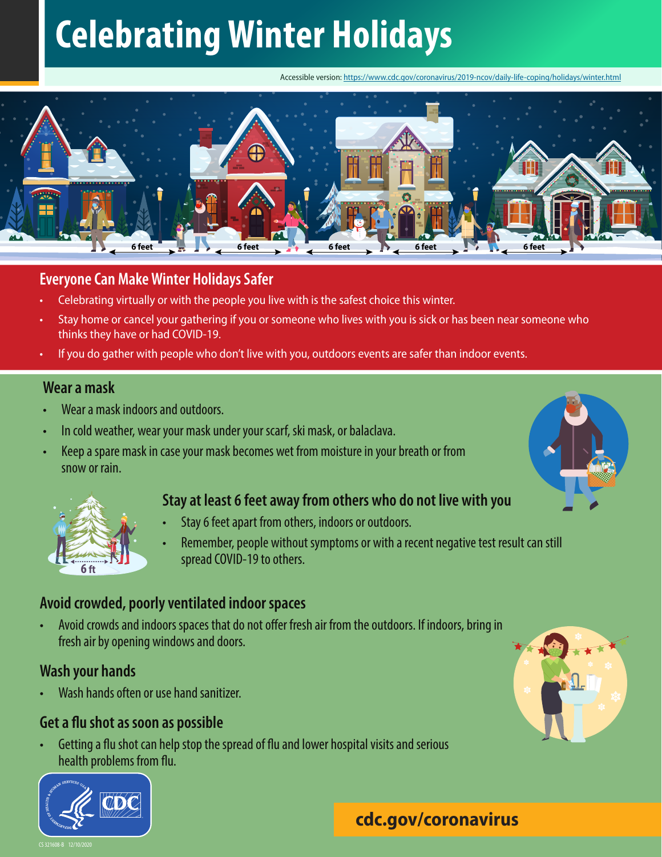# **Celebrating Winter Holidays**

Accessible version: https://www.cdc.gov/coronavirus/2019-ncov/daily-life-coping/holidays/winter.html



### **Everyone Can Make Winter Holidays Safer**

- Celebrating virtually or with the people you live with is the safest choice this winter.
- Stay home or cancel your gathering if you or someone who lives with you is sick or has been near someone who thinks they have or had COVID-19.
- If you do gather with people who don't live with you, outdoors events are safer than indoor events.

### **Wear a mask**

- Wear a mask indoors and outdoors.
- In cold weather, wear your mask under your scarf, ski mask, or balaclava.
- Keep a spare mask in case your mask becomes wet from moisture in your breath or from snow or rain.

### **Stay at least 6 feet away from others who do not live with you**



• Remember, people without symptoms or with a recent negative test result can still spread COVID-19 to others.

### **Avoid crowded, poorly ventilated indoor spaces**

• Avoid crowds and indoors spaces that do not offer fresh air from the outdoors. If indoors, bring in fresh air by opening windows and doors.

### **Wash your hands**

**6 ft**

• Wash hands often or use hand sanitizer.

### **Get a flu shot as soon as possible**

• Getting a flu shot can help stop the spread of flu and lower hospital visits and serious health problems from flu.





**SANITIZER**

# **cdc.gov/coronavirus**